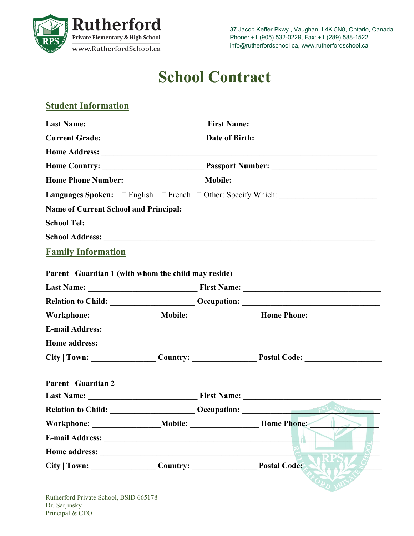

37 Jacob Keffer Pkwy., Vaughan, L4K 5N8, Ontario, Canada Phone: +1 (905) 532-0229, Fax: +1 (289) 588-1522 info@rutherfordschool.ca, www.rutherfordschool.ca

# **School Contract**

## **Student Information**

|                                                      |  |  | Name of Current School and Principal: Manual According to the Current School and Principal:                                                                                                                                          |  |
|------------------------------------------------------|--|--|--------------------------------------------------------------------------------------------------------------------------------------------------------------------------------------------------------------------------------------|--|
|                                                      |  |  |                                                                                                                                                                                                                                      |  |
|                                                      |  |  |                                                                                                                                                                                                                                      |  |
| <b>Family Information</b>                            |  |  |                                                                                                                                                                                                                                      |  |
|                                                      |  |  |                                                                                                                                                                                                                                      |  |
| Parent   Guardian 1 (with whom the child may reside) |  |  |                                                                                                                                                                                                                                      |  |
|                                                      |  |  |                                                                                                                                                                                                                                      |  |
|                                                      |  |  |                                                                                                                                                                                                                                      |  |
|                                                      |  |  |                                                                                                                                                                                                                                      |  |
|                                                      |  |  |                                                                                                                                                                                                                                      |  |
|                                                      |  |  | Home address: <u>contract the contract of the contract of the contract of the contract of the contract of the contract of the contract of the contract of the contract of the contract of the contract of the contract of the co</u> |  |
|                                                      |  |  | City   Town: Country: Country: Postal Code:                                                                                                                                                                                          |  |
|                                                      |  |  |                                                                                                                                                                                                                                      |  |
| <b>Parent   Guardian 2</b>                           |  |  |                                                                                                                                                                                                                                      |  |
|                                                      |  |  |                                                                                                                                                                                                                                      |  |
|                                                      |  |  | Relation to Child: <u>Child:</u> Cocupation: Child: Cocupation: Child: Cocupation:                                                                                                                                                   |  |
|                                                      |  |  | Home Phone:                                                                                                                                                                                                                          |  |
|                                                      |  |  |                                                                                                                                                                                                                                      |  |
|                                                      |  |  |                                                                                                                                                                                                                                      |  |
| City   Town: Country: Country: Postal Code:          |  |  |                                                                                                                                                                                                                                      |  |
|                                                      |  |  |                                                                                                                                                                                                                                      |  |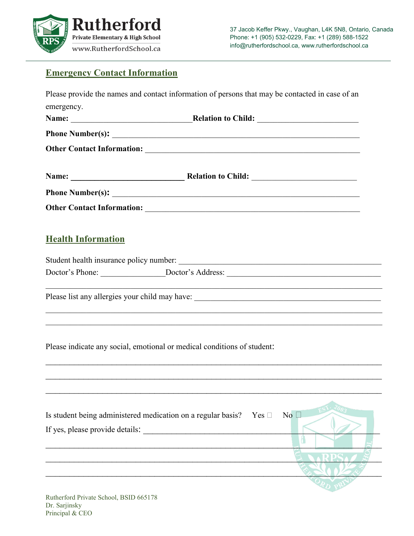

## **Emergency Contact Information**

|                           | Please provide the names and contact information of persons that may be contacted in case of an                                                                                                            |  |              |  |
|---------------------------|------------------------------------------------------------------------------------------------------------------------------------------------------------------------------------------------------------|--|--------------|--|
| emergency.                |                                                                                                                                                                                                            |  |              |  |
|                           |                                                                                                                                                                                                            |  |              |  |
|                           |                                                                                                                                                                                                            |  |              |  |
|                           |                                                                                                                                                                                                            |  |              |  |
|                           |                                                                                                                                                                                                            |  |              |  |
|                           |                                                                                                                                                                                                            |  |              |  |
|                           |                                                                                                                                                                                                            |  |              |  |
| <b>Health Information</b> |                                                                                                                                                                                                            |  |              |  |
|                           |                                                                                                                                                                                                            |  |              |  |
|                           |                                                                                                                                                                                                            |  |              |  |
|                           | ,我们也不能在这里的时候,我们也不能在这里的时候,我们也不能会在这里的时候,我们也不能会在这里的时候,我们也不能会在这里的时候,我们也不能会在这里的时候,我们也<br><u> 1989 - Johann Stoff, deutscher Stoffen und der Stoffen und der Stoffen und der Stoffen und der Stoffen und der</u> |  |              |  |
|                           | <u> 1989 - An Dùbhlachd ann an Dùbhlachd ann an Dùbhlachd ann an Dùbhlachd ann an Dùbhlachd ann an Dùbhlachd ann a</u><br>Please indicate any social, emotional or medical conditions of student:          |  |              |  |
|                           |                                                                                                                                                                                                            |  |              |  |
|                           | Is student being administered medication on a regular basis? Yes $\Box$<br>If yes, please provide details:                                                                                                 |  | No $\square$ |  |
|                           |                                                                                                                                                                                                            |  |              |  |
|                           |                                                                                                                                                                                                            |  |              |  |
|                           |                                                                                                                                                                                                            |  |              |  |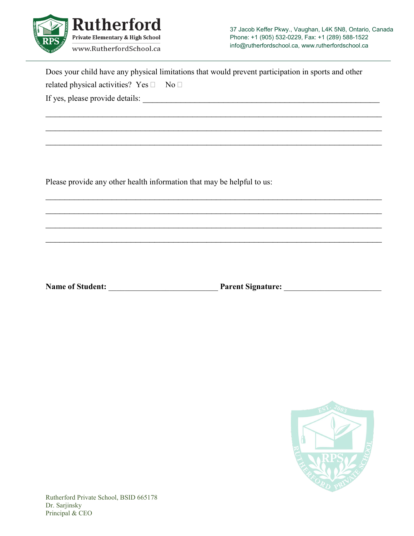

37 Jacob Keffer Pkwy., Vaughan, L4K 5N8, Ontario, Canada Phone: +1 (905) 532-0229, Fax: +1 (289) 588-1522 info@rutherfordschool.ca, www.rutherfordschool.ca

| Does your child have any physical limitations that would prevent participation in sports and other |  |
|----------------------------------------------------------------------------------------------------|--|
| related physical activities? Yes $\square$<br>$N_0$                                                |  |
| If yes, please provide details:                                                                    |  |

 $\mathcal{L}_\text{max}$  , and the contract of the contract of the contract of the contract of the contract of the contract of the contract of the contract of the contract of the contract of the contract of the contract of the contr

 $\mathcal{L}_\text{max}$  , and the contract of the contract of the contract of the contract of the contract of the contract of the contract of the contract of the contract of the contract of the contract of the contract of the contr

 $\mathcal{L}_\text{max}$  , and the contract of the contract of the contract of the contract of the contract of the contract of the contract of the contract of the contract of the contract of the contract of the contract of the contr

\_\_\_\_\_\_\_\_\_\_\_\_\_\_\_\_\_\_\_\_\_\_\_\_\_\_\_\_\_\_\_\_\_\_\_\_\_\_\_\_\_\_\_\_\_\_\_\_\_\_\_\_\_\_\_\_\_\_\_\_\_\_\_\_\_\_\_\_\_\_\_

 $\mathcal{L}_\text{max}$  , and the contract of the contract of the contract of the contract of the contract of the contract of the contract of the contract of the contract of the contract of the contract of the contract of the contr

 $\mathcal{L}_\text{max}$  , and the contract of the contract of the contract of the contract of the contract of the contract of the contract of the contract of the contract of the contract of the contract of the contract of the contr

 $\mathcal{L}_\text{max}$  , and the contract of the contract of the contract of the contract of the contract of the contract of the contract of the contract of the contract of the contract of the contract of the contract of the contr

Please provide any other health information that may be helpful to us:

**Name of Student:** \_\_\_\_\_\_\_\_\_\_\_\_\_\_\_\_\_\_\_\_\_\_\_\_\_\_\_ **Parent Signature:** \_\_\_\_\_\_\_\_\_\_\_\_\_\_\_\_\_\_\_\_\_\_\_\_

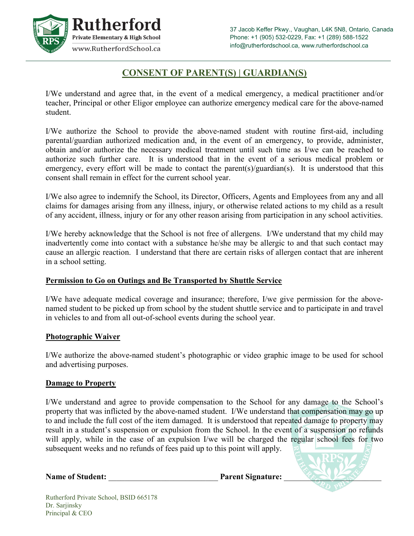

## **CONSENT OF PARENT(S) | GUARDIAN(S)**

I/We understand and agree that, in the event of a medical emergency, a medical practitioner and/or teacher, Principal or other Eligor employee can authorize emergency medical care for the above-named student.

I/We authorize the School to provide the above-named student with routine first-aid, including parental/guardian authorized medication and, in the event of an emergency, to provide, administer, obtain and/or authorize the necessary medical treatment until such time as I/we can be reached to authorize such further care. It is understood that in the event of a serious medical problem or emergency, every effort will be made to contact the parent(s)/guardian(s). It is understood that this consent shall remain in effect for the current school year.

I/We also agree to indemnify the School, its Director, Officers, Agents and Employees from any and all claims for damages arising from any illness, injury, or otherwise related actions to my child as a result of any accident, illness, injury or for any other reason arising from participation in any school activities.

I/We hereby acknowledge that the School is not free of allergens. I/We understand that my child may inadvertently come into contact with a substance he/she may be allergic to and that such contact may cause an allergic reaction. I understand that there are certain risks of allergen contact that are inherent in a school setting.

## **Permission to Go on Outings and Be Transported by Shuttle Service**

I/We have adequate medical coverage and insurance; therefore, I/we give permission for the abovenamed student to be picked up from school by the student shuttle service and to participate in and travel in vehicles to and from all out-of-school events during the school year.

#### **Photographic Waiver**

I/We authorize the above-named student's photographic or video graphic image to be used for school and advertising purposes.

#### **Damage to Property**

I/We understand and agree to provide compensation to the School for any damage to the School's property that was inflicted by the above-named student. I/We understand that compensation may go up to and include the full cost of the item damaged. It is understood that repeated damage to property may result in a student's suspension or expulsion from the School. In the event of a suspension no refunds will apply, while in the case of an expulsion I/we will be charged the regular school fees for two subsequent weeks and no refunds of fees paid up to this point will apply.

Name of Student: **Name** of Student: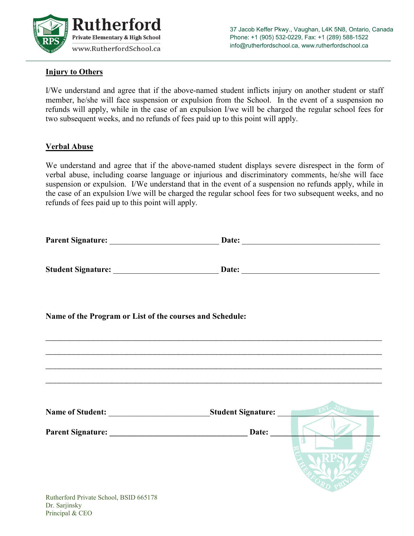

## **Injury to Others**

I/We understand and agree that if the above-named student inflicts injury on another student or staff member, he/she will face suspension or expulsion from the School. In the event of a suspension no refunds will apply, while in the case of an expulsion I/we will be charged the regular school fees for two subsequent weeks, and no refunds of fees paid up to this point will apply.

#### **Verbal Abuse**

We understand and agree that if the above-named student displays severe disrespect in the form of verbal abuse, including coarse language or injurious and discriminatory comments, he/she will face suspension or expulsion. I/We understand that in the event of a suspension no refunds apply, while in the case of an expulsion I/we will be charged the regular school fees for two subsequent weeks, and no refunds of fees paid up to this point will apply.

| Name of the Program or List of the courses and Schedule: |                                                                                  |
|----------------------------------------------------------|----------------------------------------------------------------------------------|
|                                                          |                                                                                  |
|                                                          |                                                                                  |
|                                                          | ,我们也不能在这里,我们也不能会在这里,我们也不能会在这里,我们也不能会在这里,我们也不能会不能会不能会不能会。""我们,我们也不能会不能会不能会不能会不能会不 |
|                                                          |                                                                                  |
|                                                          |                                                                                  |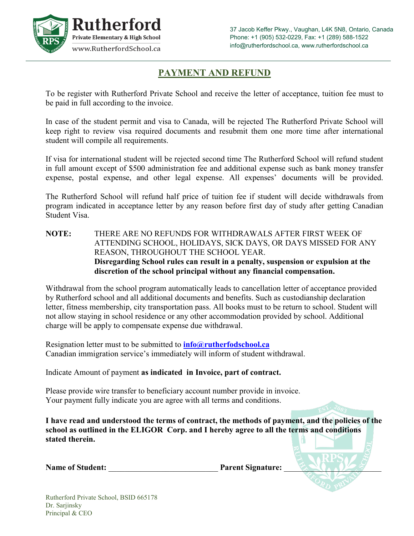

## **PAYMENT AND REFUND**

To be register with Rutherford Private School and receive the letter of acceptance, tuition fee must to be paid in full according to the invoice.

In case of the student permit and visa to Canada, will be rejected The Rutherford Private School will keep right to review visa required documents and resubmit them one more time after international student will compile all requirements.

If visa for international student will be rejected second time The Rutherford School will refund student in full amount except of \$500 administration fee and additional expense such as bank money transfer expense, postal expense, and other legal expense. All expenses' documents will be provided.

The Rutherford School will refund half price of tuition fee if student will decide withdrawals from program indicated in acceptance letter by any reason before first day of study after getting Canadian Student Visa.

**NOTE:** THERE ARE NO REFUNDS FOR WITHDRAWALS AFTER FIRST WEEK OF ATTENDING SCHOOL, HOLIDAYS, SICK DAYS, OR DAYS MISSED FOR ANY REASON, THROUGHOUT THE SCHOOL YEAR. **Disregarding School rules can result in a penalty, suspension or expulsion at the discretion of the school principal without any financial compensation.**

Withdrawal from the school program automatically leads to cancellation letter of acceptance provided by Rutherford school and all additional documents and benefits. Such as custodianship declaration letter, fitness membership, city transportation pass. All books must to be return to school. Student will not allow staying in school residence or any other accommodation provided by school. Additional charge will be apply to compensate expense due withdrawal.

Resignation letter must to be submitted to **[info@rutherfodschool.ca](mailto:info@rutherfodschool.ca)** Canadian immigration service's immediately will inform of student withdrawal.

Indicate Amount of payment **as indicated in Invoice, part of contract.**

Please provide wire transfer to beneficiary account number provide in invoice. Your payment fully indicate you are agree with all terms and conditions.

**I have read and understood the terms of contract, the methods of payment, and the policies of the school as outlined in the ELIGOR Corp. and I hereby agree to all the terms and conditions stated therein.**

| <b>Name of Student:</b> | <b>Parent Signature:</b> |  |
|-------------------------|--------------------------|--|
|-------------------------|--------------------------|--|

Rutherford Private School, BSID 665178 Dr. Sarjinsky Principal & CEO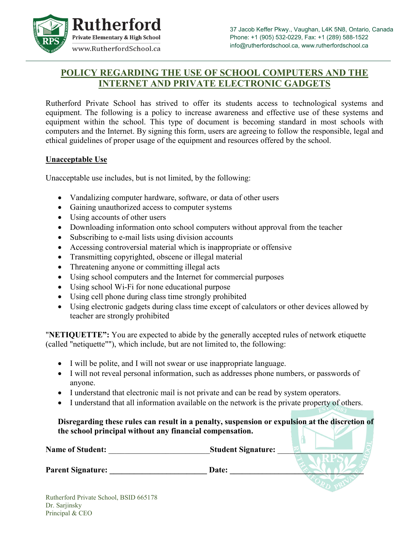

# **POLICY REGARDING THE USE OF SCHOOL COMPUTERS AND THE INTERNET AND PRIVATE ELECTRONIC GADGETS**

Rutherford Private School has strived to offer its students access to technological systems and equipment. The following is a policy to increase awareness and effective use of these systems and equipment within the school. This type of document is becoming standard in most schools with computers and the Internet. By signing this form, users are agreeing to follow the responsible, legal and ethical guidelines of proper usage of the equipment and resources offered by the school.

#### **Unacceptable Use**

Unacceptable use includes, but is not limited, by the following:

- Vandalizing computer hardware, software, or data of other users
- Gaining unauthorized access to computer systems
- Using accounts of other users
- Downloading information onto school computers without approval from the teacher
- Subscribing to e-mail lists using division accounts
- Accessing controversial material which is inappropriate or offensive
- Transmitting copyrighted, obscene or illegal material
- Threatening anyone or committing illegal acts
- Using school computers and the Internet for commercial purposes
- Using school Wi-Fi for none educational purpose
- Using cell phone during class time strongly prohibited
- Using electronic gadgets during class time except of calculators or other devices allowed by teacher are strongly prohibited

"**NETIQUETTE":** You are expected to abide by the generally accepted rules of network etiquette (called "netiquette""), which include, but are not limited to, the following:

- I will be polite, and I will not swear or use inappropriate language.
- I will not reveal personal information, such as addresses phone numbers, or passwords of anyone.
- I understand that electronic mail is not private and can be read by system operators.
- I understand that all information available on the network is the private property of others.

**Disregarding these rules can result in a penalty, suspension or expulsion at the discretion of the school principal without any financial compensation.**  $\mathsf{A}$ 

**Name of Student:** \_\_\_\_\_\_\_\_\_\_\_\_\_\_\_\_\_\_\_\_\_\_\_\_\_**Student Signature:** \_\_\_\_\_\_\_\_\_\_\_\_\_\_\_\_\_\_\_\_\_

**Parent Signature: \_\_\_\_\_\_\_\_\_\_\_\_\_\_\_\_\_\_\_\_\_\_\_\_ Date: \_\_\_\_\_\_\_\_\_\_\_\_\_\_\_\_\_\_\_\_\_\_\_\_\_\_\_\_\_\_\_\_\_**

Rutherford Private School, BSID 665178 Dr. Sarjinsky Principal & CEO